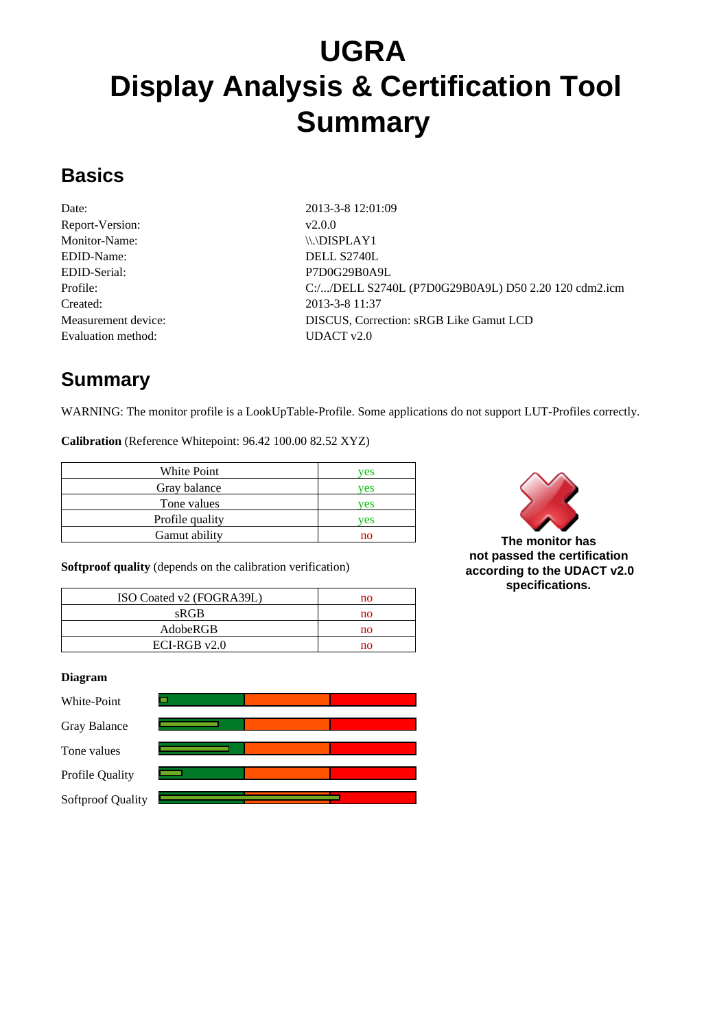# **UGRA Display Analysis & Certification Tool Summary**

#### **Basics**

Date: 2013-3-8 12:01:09 Report-Version:  $v2.0.0$ Monitor-Name: \\\\DISPLAY1 EDID-Name: DELL S2740L EDID-Serial: P7D0G29B0A9L Created: 2013-3-8 11:37 Evaluation method: UDACT v2.0

Profile: C:/.../DELL S2740L (P7D0G29B0A9L) D50 2.20 120 cdm2.icm Measurement device: DISCUS, Correction: sRGB Like Gamut LCD

# **Summary**

WARNING: The monitor profile is a LookUpTable-Profile. Some applications do not support LUT-Profiles correctly.

**Calibration** (Reference Whitepoint: 96.42 100.00 82.52 XYZ)

| White Point     | ves |
|-----------------|-----|
| Gray balance    | ves |
| Tone values     | ves |
| Profile quality | ves |
| Gamut ability   | no  |



**The monitor has not passed the certification according to the UDACT v2.0 specifications.**

**Softproof quality** (depends on the calibration verification)

| ISO Coated v2 (FOGRA39L) | no |
|--------------------------|----|
| sRGB                     | no |
| AdobeRGB                 | no |
| $ECI-RGBv2.0$            | no |

#### **Diagram**

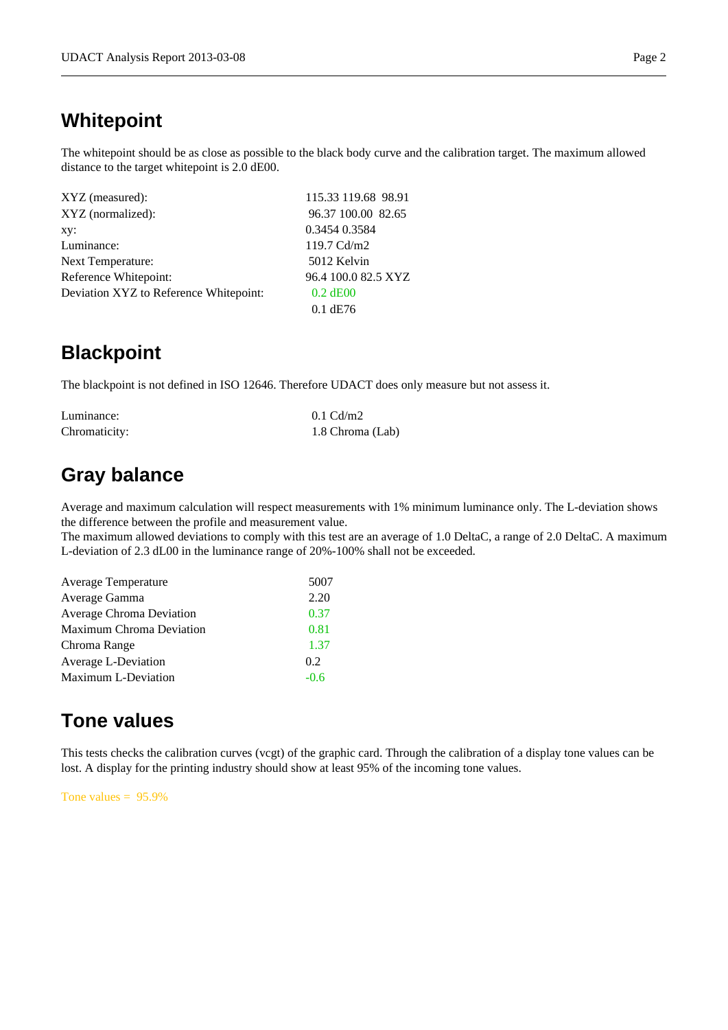#### **Whitepoint**

The whitepoint should be as close as possible to the black body curve and the calibration target. The maximum allowed distance to the target whitepoint is 2.0 dE00.

| XYZ (measured):                        | 115.33 119.68 98.91 |
|----------------------------------------|---------------------|
| XYZ (normalized):                      | 96.37 100.00 82.65  |
| xy:                                    | 0.3454 0.3584       |
| Luminance:                             | 119.7 Cd/m2         |
| Next Temperature:                      | 5012 Kelvin         |
| Reference Whitepoint:                  | 96.4 100.0 82.5 XYZ |
| Deviation XYZ to Reference Whitepoint: | $0.2$ dE00          |
|                                        | $0.1$ dE76          |

#### **Blackpoint**

The blackpoint is not defined in ISO 12646. Therefore UDACT does only measure but not assess it.

| Luminance:    | $0.1 \text{ Cd/m2}$ |
|---------------|---------------------|
| Chromaticity: | 1.8 Chroma (Lab)    |

#### **Gray balance**

Average and maximum calculation will respect measurements with 1% minimum luminance only. The L-deviation shows the difference between the profile and measurement value.

The maximum allowed deviations to comply with this test are an average of 1.0 DeltaC, a range of 2.0 DeltaC. A maximum L-deviation of 2.3 dL00 in the luminance range of 20%-100% shall not be exceeded.

| <b>Average Temperature</b>      | 5007   |
|---------------------------------|--------|
| Average Gamma                   | 2.20   |
| <b>Average Chroma Deviation</b> | 0.37   |
| Maximum Chroma Deviation        | 0.81   |
| Chroma Range                    | 1.37   |
| Average L-Deviation             | 0.2    |
| <b>Maximum L-Deviation</b>      | $-0.6$ |

### **Tone values**

This tests checks the calibration curves (vcgt) of the graphic card. Through the calibration of a display tone values can be lost. A display for the printing industry should show at least 95% of the incoming tone values.

Tone values  $= 95.9\%$